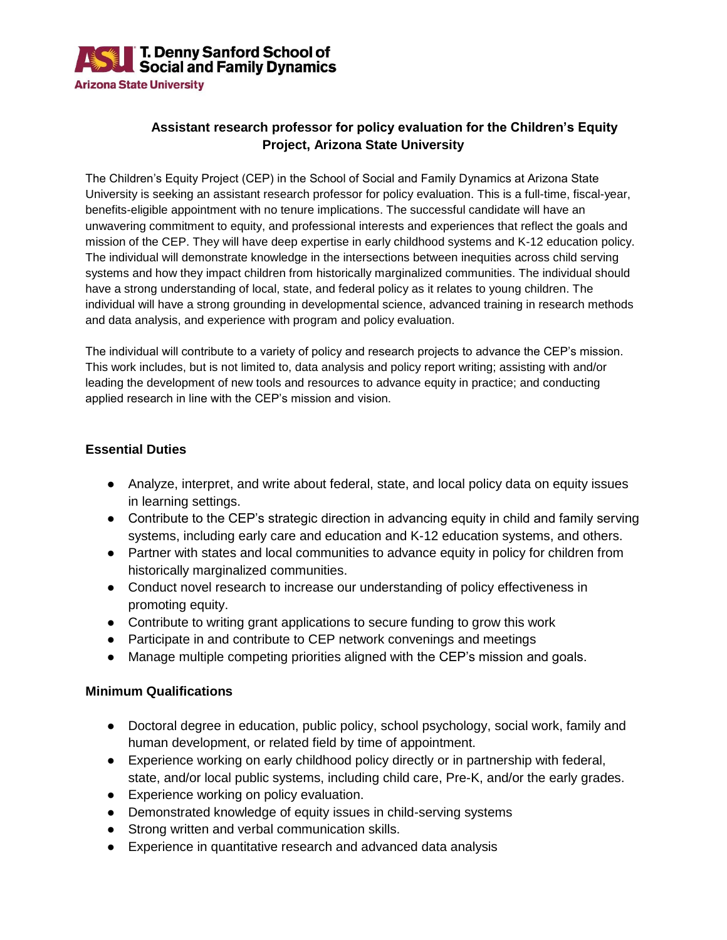

## **Assistant research professor for policy evaluation for the Children's Equity Project, Arizona State University**

The Children's Equity Project (CEP) in the School of Social and Family Dynamics at Arizona State University is seeking an assistant research professor for policy evaluation. This is a full-time, fiscal-year, benefits-eligible appointment with no tenure implications. The successful candidate will have an unwavering commitment to equity, and professional interests and experiences that reflect the goals and mission of the CEP. They will have deep expertise in early childhood systems and K-12 education policy. The individual will demonstrate knowledge in the intersections between inequities across child serving systems and how they impact children from historically marginalized communities. The individual should have a strong understanding of local, state, and federal policy as it relates to young children. The individual will have a strong grounding in developmental science, advanced training in research methods and data analysis, and experience with program and policy evaluation.

The individual will contribute to a variety of policy and research projects to advance the CEP's mission. This work includes, but is not limited to, data analysis and policy report writing; assisting with and/or leading the development of new tools and resources to advance equity in practice; and conducting applied research in line with the CEP's mission and vision.

## **Essential Duties**

- Analyze, interpret, and write about federal, state, and local policy data on equity issues in learning settings.
- Contribute to the CEP's strategic direction in advancing equity in child and family serving systems, including early care and education and K-12 education systems, and others.
- Partner with states and local communities to advance equity in policy for children from historically marginalized communities.
- Conduct novel research to increase our understanding of policy effectiveness in promoting equity.
- Contribute to writing grant applications to secure funding to grow this work
- Participate in and contribute to CEP network convenings and meetings
- Manage multiple competing priorities aligned with the CEP's mission and goals.

#### **Minimum Qualifications**

- Doctoral degree in education, public policy, school psychology, social work, family and human development, or related field by time of appointment.
- Experience working on early childhood policy directly or in partnership with federal, state, and/or local public systems, including child care, Pre-K, and/or the early grades.
- Experience working on policy evaluation.
- Demonstrated knowledge of equity issues in child-serving systems
- Strong written and verbal communication skills.
- Experience in quantitative research and advanced data analysis